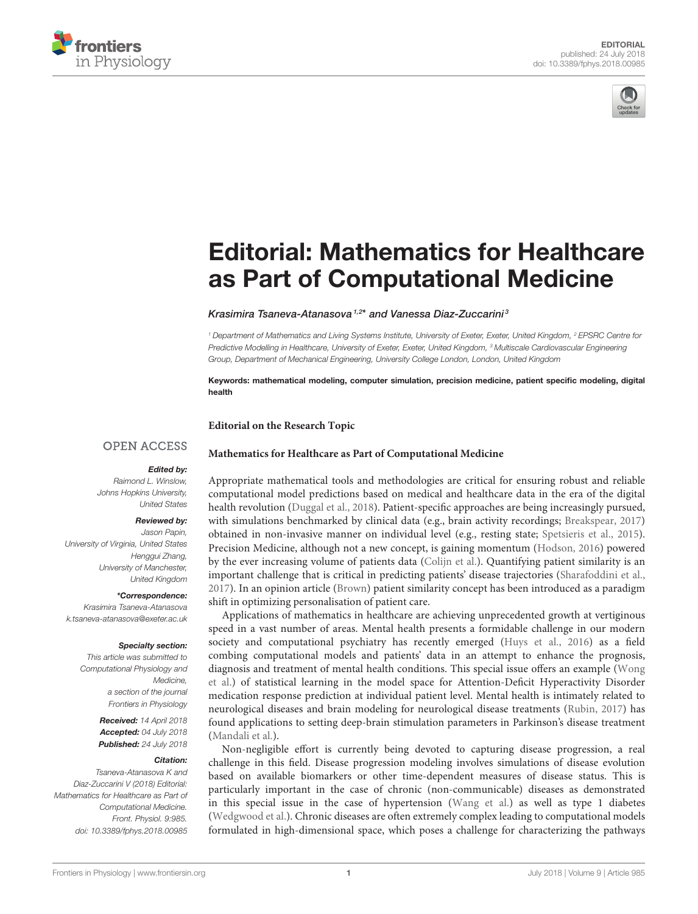



# [Editorial: Mathematics for Healthcare](https://www.frontiersin.org/articles/10.3389/fphys.2018.00985/full) as Part of Computational Medicine

#### [Krasimira Tsaneva-Atanasova](http://loop.frontiersin.org/people/224888/overview)<sup>1,2\*</sup> and [Vanessa Diaz-Zuccarini](http://loop.frontiersin.org/people/59864/overview)<sup>3</sup>

*<sup>1</sup> Department of Mathematics and Living Systems Institute, University of Exeter, Exeter, United Kingdom, <sup>2</sup> EPSRC Centre for Predictive Modelling in Healthcare, University of Exeter, Exeter, United Kingdom, <sup>3</sup> Multiscale Cardiovascular Engineering Group, Department of Mechanical Engineering, University College London, London, United Kingdom*

Keywords: mathematical modeling, computer simulation, precision medicine, patient specific modeling, digital health

**Editorial on the Research Topic**

## **OPEN ACCESS**

## **[Mathematics for Healthcare as Part of Computational Medicine](https://www.frontiersin.org/research-topics/4555/mathematics-for-healthcare-as-part-of-computational-medicine)**

## Edited by:

*Raimond L. Winslow, Johns Hopkins University, United States*

### Reviewed by:

*Jason Papin, University of Virginia, United States Henggui Zhang, University of Manchester, United Kingdom*

#### \*Correspondence:

*Krasimira Tsaneva-Atanasova [k.tsaneva-atanasova@exeter.ac.uk](mailto:k.tsaneva-atanasova@exeter.ac.uk)*

#### Specialty section:

*This article was submitted to Computational Physiology and Medicine, a section of the journal Frontiers in Physiology*

> Received: *14 April 2018* Accepted: *04 July 2018* Published: *24 July 2018*

#### Citation:

*Tsaneva-Atanasova K and Diaz-Zuccarini V (2018) Editorial: Mathematics for Healthcare as Part of Computational Medicine. Front. Physiol. 9:985. doi: [10.3389/fphys.2018.00985](https://doi.org/10.3389/fphys.2018.00985)*

Appropriate mathematical tools and methodologies are critical for ensuring robust and reliable computational model predictions based on medical and healthcare data in the era of the digital health revolution [\(Duggal et al., 2018\)](#page-1-0). Patient-specific approaches are being increasingly pursued, with simulations benchmarked by clinical data (e.g., brain activity recordings; [Breakspear, 2017\)](#page-1-1) obtained in non-invasive manner on individual level (e.g., resting state; [Spetsieris et al., 2015\)](#page-2-0). Precision Medicine, although not a new concept, is gaining momentum [\(Hodson, 2016\)](#page-1-2) powered by the ever increasing volume of patients data [\(Colijn et al.\)](https://doi.org/10.3389/fphys.2017.00136). Quantifying patient similarity is an important challenge that is critical in predicting patients' disease trajectories [\(Sharafoddini et al.,](#page-2-1) [2017\)](#page-2-1). In an opinion article [\(Brown\)](https://doi.org/10.3389/fphys.2016.00561) patient similarity concept has been introduced as a paradigm shift in optimizing personalisation of patient care.

Applications of mathematics in healthcare are achieving unprecedented growth at vertiginous speed in a vast number of areas. Mental health presents a formidable challenge in our modern society and computational psychiatry has recently emerged [\(Huys et al., 2016\)](#page-1-3) as a field combing computational models and patients' data in an attempt to enhance the prognosis, [diagnosis and treatment of mental health conditions. This special issue offers an example \(Wong](https://doi.org/10.3389/fphys.2017.00199) et al.) of statistical learning in the model space for Attention-Deficit Hyperactivity Disorder medication response prediction at individual patient level. Mental health is intimately related to neurological diseases and brain modeling for neurological disease treatments [\(Rubin, 2017\)](#page-1-4) has found applications to setting deep-brain stimulation parameters in Parkinson's disease treatment [\(Mandali et al.\)](https://doi.org/10.3389/fphys.2016.00585).

Non-negligible effort is currently being devoted to capturing disease progression, a real challenge in this field. Disease progression modeling involves simulations of disease evolution based on available biomarkers or other time-dependent measures of disease status. This is particularly important in the case of chronic (non-communicable) diseases as demonstrated in this special issue in the case of hypertension [\(Wang et al.\)](https://doi.org/10.3389/fphys.2016.00555) as well as type 1 diabetes [\(Wedgwood et al.\)](https://doi.org/10.3389/fphys.2016.00633). Chronic diseases are often extremely complex leading to computational models formulated in high-dimensional space, which poses a challenge for characterizing the pathways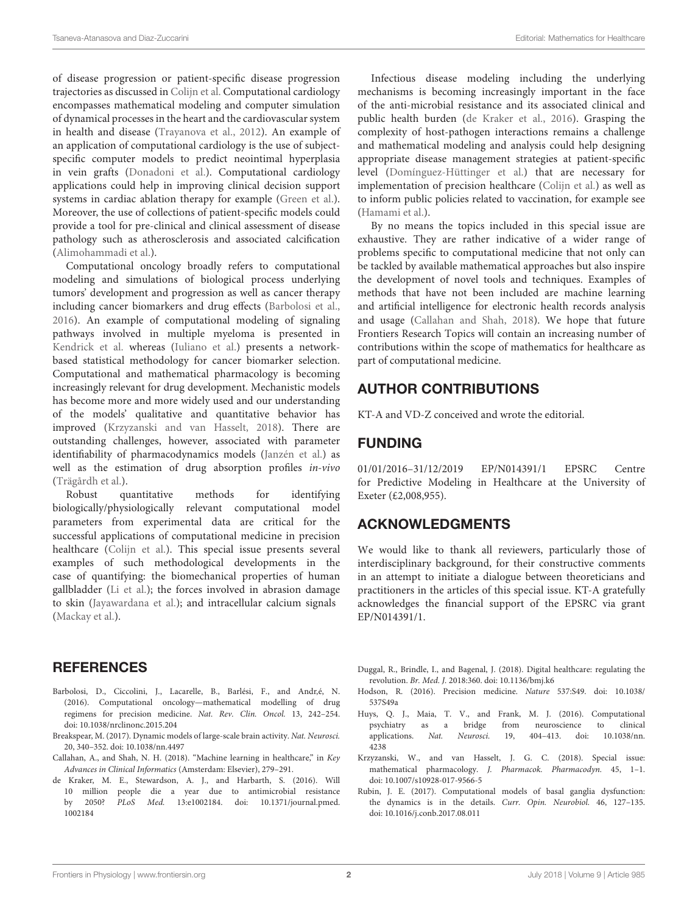of disease progression or patient-specific disease progression trajectories as discussed in [Colijn et al.](https://doi.org/10.3389/fphys.2017.00136) Computational cardiology encompasses mathematical modeling and computer simulation of dynamical processes in the heart and the cardiovascular system in health and disease [\(Trayanova et al., 2012\)](#page-2-2). An example of an application of computational cardiology is the use of subjectspecific computer models to predict neointimal hyperplasia in vein grafts [\(Donadoni et al.\)](https://doi.org/10.3389/fphys.2017.00226). Computational cardiology applications could help in improving clinical decision support systems in cardiac ablation therapy for example [\(Green et al.\)](https://doi.org/10.3389/fphys.2017.00496). Moreover, the use of collections of patient-specific models could provide a tool for pre-clinical and clinical assessment of disease pathology such as atherosclerosis and associated calcification [\(Alimohammadi et al.\)](https://doi.org/10.3389/fphys.2016.00238).

Computational oncology broadly refers to computational modeling and simulations of biological process underlying tumors' development and progression as well as cancer therapy including cancer biomarkers and drug effects [\(Barbolosi et al.,](#page-1-5) [2016\)](#page-1-5). An example of computational modeling of signaling pathways involved in multiple myeloma is presented in [Kendrick et al.](https://doi.org/10.3389/fphys.2017.00149) whereas [\(Iuliano et al.\)](https://doi.org/10.3389/fphys.2016.00208) presents a networkbased statistical methodology for cancer biomarker selection. Computational and mathematical pharmacology is becoming increasingly relevant for drug development. Mechanistic models has become more and more widely used and our understanding of the models' qualitative and quantitative behavior has improved [\(Krzyzanski and van Hasselt, 2018\)](#page-1-6). There are outstanding challenges, however, associated with parameter identifiability of pharmacodynamics models [\(Janzén et al.\)](https://doi.org/10.3389/fphys.2016.00590) as well as the estimation of drug absorption profiles in-vivo [\(Trägårdh et al.\)](https://doi.org/10.3389/fbioe.2017.00024).

Robust quantitative methods for identifying biologically/physiologically relevant computational model parameters from experimental data are critical for the successful applications of computational medicine in precision healthcare [\(Colijn et al.\)](https://doi.org/10.3389/fphys.2017.00136). This special issue presents several examples of such methodological developments in the case of quantifying: the biomechanical properties of human gallbladder [\(Li et al.\)](https://doi.org/10.3389/fphys.2017.00176); the forces involved in abrasion damage to skin [\(Jayawardana et al.\)](https://doi.org/10.3389/fphys.2017.00107); and intracellular calcium signals [\(Mackay et al.\)](https://doi.org/10.3389/fphys.2016.00525).

# **REFERENCES**

- <span id="page-1-5"></span>Barbolosi, D., Ciccolini, J., Lacarelle, B., Barlési, F., and Andr,é, N. (2016). Computational oncology—mathematical modelling of drug regimens for precision medicine. Nat. Rev. Clin. Oncol. 13, 242–254. doi: [10.1038/nrclinonc.2015.204](https://doi.org/10.1038/nrclinonc.2015.204)
- <span id="page-1-1"></span>Breakspear, M. (2017). Dynamic models of large-scale brain activity. Nat. Neurosci. 20, 340–352. doi: [10.1038/nn.4497](https://doi.org/10.1038/nn.4497)
- <span id="page-1-8"></span>Callahan, A., and Shah, N. H. (2018). "Machine learning in healthcare," in Key Advances in Clinical Informatics (Amsterdam: Elsevier), 279–291.
- <span id="page-1-7"></span>de Kraker, M. E., Stewardson, A. J., and Harbarth, S. (2016). Will 10 million people die a year due to antimicrobial resistance by 2050? PLoS Med. [13:e1002184. doi: 10.1371/journal.pmed.](https://doi.org/10.1371/journal.pmed.1002184) 1002184

Infectious disease modeling including the underlying mechanisms is becoming increasingly important in the face of the anti-microbial resistance and its associated clinical and public health burden [\(de Kraker et al., 2016\)](#page-1-7). Grasping the complexity of host-pathogen interactions remains a challenge and mathematical modeling and analysis could help designing appropriate disease management strategies at patient-specific level [\(Domínguez-Hüttinger et al.\)](https://doi.org/10.3389/fphys.2017.00115) that are necessary for implementation of precision healthcare [\(Colijn et al.\)](https://doi.org/10.3389/fphys.2017.00136) as well as to inform public policies related to vaccination, for example see [\(Hamami et al.\)](https://doi.org/10.3389/fphys.2017.00233).

By no means the topics included in this special issue are exhaustive. They are rather indicative of a wider range of problems specific to computational medicine that not only can be tackled by available mathematical approaches but also inspire the development of novel tools and techniques. Examples of methods that have not been included are machine learning and artificial intelligence for electronic health records analysis and usage [\(Callahan and Shah, 2018\)](#page-1-8). We hope that future Frontiers Research Topics will contain an increasing number of contributions within the scope of mathematics for healthcare as part of computational medicine.

# AUTHOR CONTRIBUTIONS

KT-A and VD-Z conceived and wrote the editorial.

## FUNDING

01/01/2016–31/12/2019 EP/N014391/1 EPSRC Centre for Predictive Modeling in Healthcare at the University of Exeter (£2,008,955).

# ACKNOWLEDGMENTS

We would like to thank all reviewers, particularly those of interdisciplinary background, for their constructive comments in an attempt to initiate a dialogue between theoreticians and practitioners in the articles of this special issue. KT-A gratefully acknowledges the financial support of the EPSRC via grant EP/N014391/1.

<span id="page-1-0"></span>Duggal, R., Brindle, I., and Bagenal, J. (2018). Digital healthcare: regulating the revolution. Br. Med. J. 2018:360. doi: [10.1136/bmj.k6](https://doi.org/10.1136/bmj.k6)

- <span id="page-1-2"></span>H[odson, R. \(2016\). Precision medicine.](https://doi.org/10.1038/537S49a) Nature 537:S49. doi: 10.1038/ 537S49a
- <span id="page-1-3"></span>Huys, Q. J., Maia, T. V., and Frank, M. J. (2016). Computational psychiatry as a bridge from neuroscience to clinical applications. Nat. Neurosci. [19, 404–413. doi: 10.1038/nn.](https://doi.org/10.1038/nn.4238) 4238
- <span id="page-1-6"></span>Krzyzanski, W., and van Hasselt, J. G. C. (2018). Special issue: mathematical pharmacology. J. Pharmacok. Pharmacodyn. 45, 1–1. doi: [10.1007/s10928-017-9566-5](https://doi.org/10.1007/s10928-017-9566-5)
- <span id="page-1-4"></span>Rubin, J. E. (2017). Computational models of basal ganglia dysfunction: the dynamics is in the details. Curr. Opin. Neurobiol. 46, 127–135. doi: [10.1016/j.conb.2017.08.011](https://doi.org/10.1016/j.conb.2017.08.011)